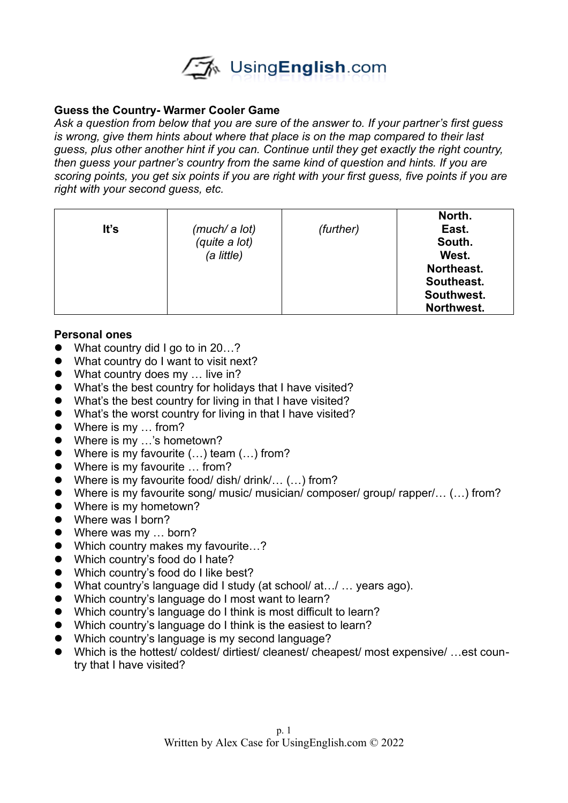

## **Guess the Country- Warmer Cooler Game**

*Ask a question from below that you are sure of the answer to. If your partner's first guess is wrong, give them hints about where that place is on the map compared to their last guess, plus other another hint if you can. Continue until they get exactly the right country, then guess your partner's country from the same kind of question and hints. If you are scoring points, you get six points if you are right with your first guess, five points if you are right with your second guess, etc.* 

| It's | (much/ a lot)<br>(quite a lot)<br>(a little) | (further) | North.<br>East.<br>South.<br>West.<br>Northeast.<br>Southeast. |
|------|----------------------------------------------|-----------|----------------------------------------------------------------|
|      |                                              |           | Southwest.<br>Northwest.                                       |

## **Personal ones**

- What country did I go to in 20...?
- What country do I want to visit next?
- What country does my … live in?
- What's the best country for holidays that I have visited?
- What's the best country for living in that I have visited?
- What's the worst country for living in that I have visited?
- Where is my ... from?
- Where is my ...'s hometown?
- Where is my favourite (...) team (...) from?
- Where is my favourite ... from?
- Where is my favourite food/ dish/ drink/... (...) from?
- Where is my favourite song/ music/ musician/ composer/ group/ rapper/... (...) from?
- Where is my hometown?
- Where was I born?
- Where was my ... born?
- Which country makes my favourite...?
- Which country's food do I hate?
- Which country's food do I like best?
- What country's language did I study (at school/ at…/ ... years ago).
- Which country's language do I most want to learn?
- Which country's language do I think is most difficult to learn?
- Which country's language do I think is the easiest to learn?
- Which country's language is my second language?
- Which is the hottest/ coldest/ dirtiest/ cleanest/ cheapest/ most expensive/ ...est country that I have visited?